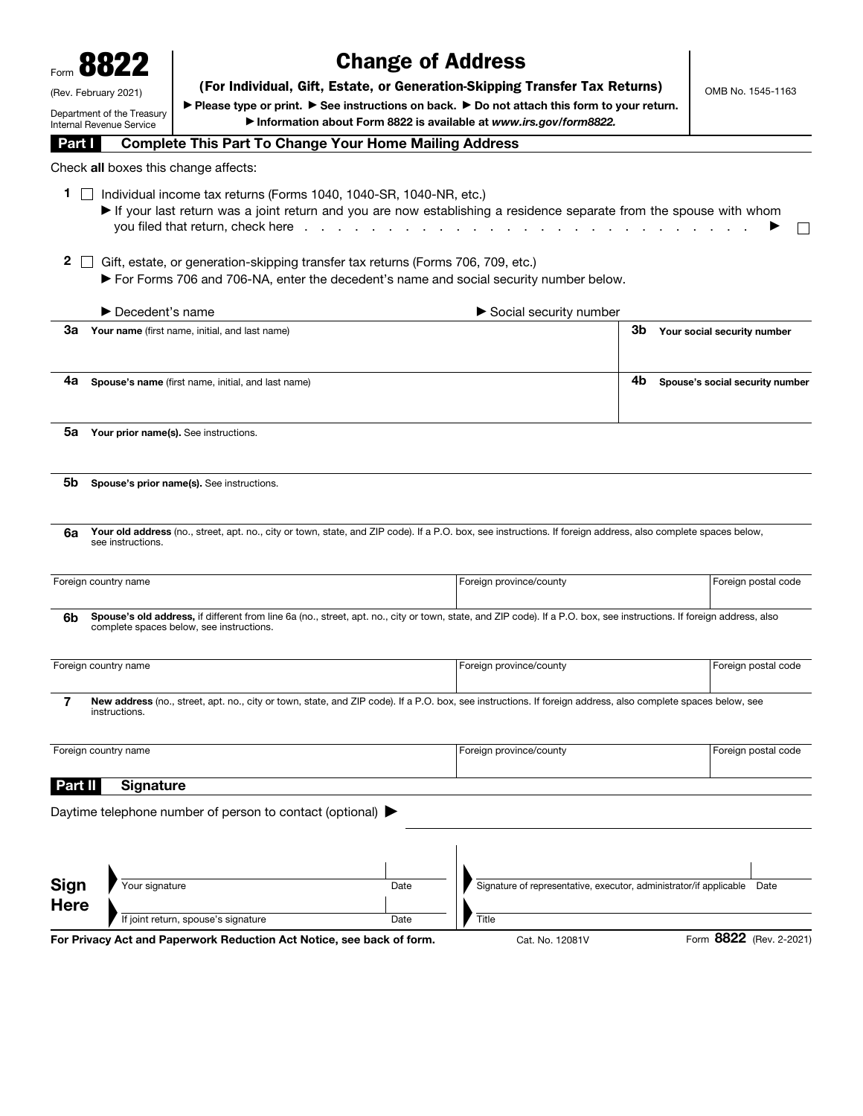|                     | 8822                                               |                                                                                                          | <b>Change of Address</b> |                                                                                                                                                                       |                   |                                 |
|---------------------|----------------------------------------------------|----------------------------------------------------------------------------------------------------------|--------------------------|-----------------------------------------------------------------------------------------------------------------------------------------------------------------------|-------------------|---------------------------------|
|                     |                                                    | (For Individual, Gift, Estate, or Generation-Skipping Transfer Tax Returns)                              |                          |                                                                                                                                                                       | OMB No. 1545-1163 |                                 |
|                     | (Rev. February 2021)<br>Department of the Treasury |                                                                                                          |                          | ▶ Please type or print. ▶ See instructions on back. ▶ Do not attach this form to your return.                                                                         |                   |                                 |
|                     | Internal Revenue Service                           |                                                                                                          |                          | Information about Form 8822 is available at www.irs.gov/form8822.                                                                                                     |                   |                                 |
| <b>Part I</b>       |                                                    | <b>Complete This Part To Change Your Home Mailing Address</b>                                            |                          |                                                                                                                                                                       |                   |                                 |
|                     | Check all boxes this change affects:               |                                                                                                          |                          |                                                                                                                                                                       |                   |                                 |
| 1.                  |                                                    | Individual income tax returns (Forms 1040, 1040-SR, 1040-NR, etc.)<br>you filed that return, check here. |                          | If your last return was a joint return and you are now establishing a residence separate from the spouse with whom                                                    |                   |                                 |
| $\mathbf{2}$        |                                                    | Gift, estate, or generation-skipping transfer tax returns (Forms 706, 709, etc.)                         |                          | ► For Forms 706 and 706-NA, enter the decedent's name and social security number below.                                                                               |                   |                                 |
|                     | $\blacktriangleright$ Decedent's name              |                                                                                                          |                          | Social security number                                                                                                                                                |                   |                                 |
| За                  |                                                    | Your name (first name, initial, and last name)                                                           |                          |                                                                                                                                                                       | 3b                | Your social security number     |
| 4a                  |                                                    | Spouse's name (first name, initial, and last name)                                                       |                          |                                                                                                                                                                       | 4b                | Spouse's social security number |
| 5a                  |                                                    | Your prior name(s). See instructions.                                                                    |                          |                                                                                                                                                                       |                   |                                 |
| 5b                  |                                                    | Spouse's prior name(s). See instructions.                                                                |                          |                                                                                                                                                                       |                   |                                 |
| 6a                  | see instructions.                                  |                                                                                                          |                          | Your old address (no., street, apt. no., city or town, state, and ZIP code). If a P.O. box, see instructions. If foreign address, also complete spaces below,         |                   |                                 |
|                     | Foreign country name                               |                                                                                                          |                          | Foreign province/county                                                                                                                                               |                   | Foreign postal code             |
| 6b                  |                                                    | complete spaces below, see instructions.                                                                 |                          | Spouse's old address, if different from line 6a (no., street, apt. no., city or town, state, and ZIP code). If a P.O. box, see instructions. If foreign address, also |                   |                                 |
|                     | Foreign country name                               |                                                                                                          |                          | Foreign province/county                                                                                                                                               |                   | Foreign postal code             |
| 7                   | instructions.                                      |                                                                                                          |                          | New address (no., street, apt. no., city or town, state, and ZIP code). If a P.O. box, see instructions. If foreign address, also complete spaces below, see          |                   |                                 |
|                     | Foreign country name                               |                                                                                                          |                          | Foreign province/county                                                                                                                                               |                   | Foreign postal code             |
| Part II             | <b>Signature</b>                                   |                                                                                                          |                          |                                                                                                                                                                       |                   |                                 |
|                     |                                                    | Daytime telephone number of person to contact (optional) ▶                                               |                          |                                                                                                                                                                       |                   |                                 |
|                     |                                                    |                                                                                                          |                          |                                                                                                                                                                       |                   |                                 |
| Sign<br><b>Here</b> | Your signature                                     |                                                                                                          | Date                     | Signature of representative, executor, administrator/if applicable                                                                                                    |                   | Date                            |
|                     |                                                    | If joint return, spouse's signature                                                                      | Date                     | Title                                                                                                                                                                 |                   |                                 |
|                     |                                                    | For Privacy Act and Paperwork Reduction Act Notice, see back of form.                                    |                          | Cat. No. 12081V                                                                                                                                                       |                   | Form 8822 (Rev. 2-2021)         |